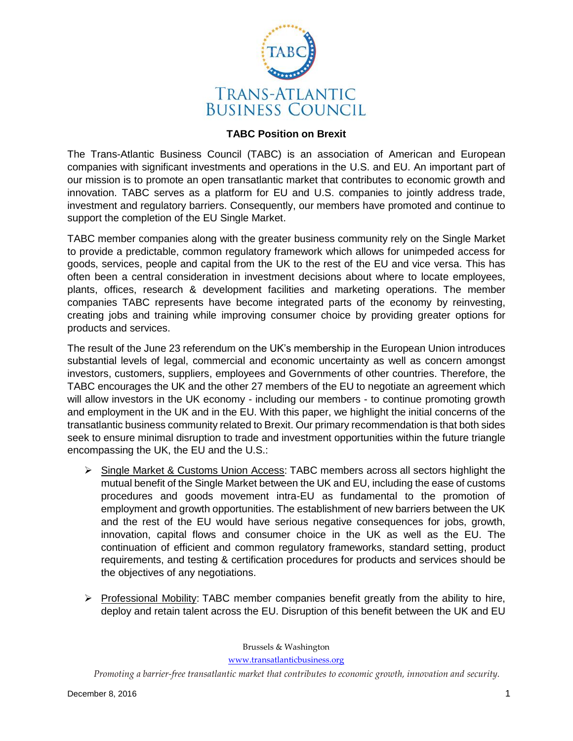

## **TABC Position on Brexit**

The Trans-Atlantic Business Council (TABC) is an association of American and European companies with significant investments and operations in the U.S. and EU. An important part of our mission is to promote an open transatlantic market that contributes to economic growth and innovation. TABC serves as a platform for EU and U.S. companies to jointly address trade, investment and regulatory barriers. Consequently, our members have promoted and continue to support the completion of the EU Single Market.

TABC member companies along with the greater business community rely on the Single Market to provide a predictable, common regulatory framework which allows for unimpeded access for goods, services, people and capital from the UK to the rest of the EU and vice versa. This has often been a central consideration in investment decisions about where to locate employees, plants, offices, research & development facilities and marketing operations. The member companies TABC represents have become integrated parts of the economy by reinvesting, creating jobs and training while improving consumer choice by providing greater options for products and services.

The result of the June 23 referendum on the UK's membership in the European Union introduces substantial levels of legal, commercial and economic uncertainty as well as concern amongst investors, customers, suppliers, employees and Governments of other countries. Therefore, the TABC encourages the UK and the other 27 members of the EU to negotiate an agreement which will allow investors in the UK economy - including our members - to continue promoting growth and employment in the UK and in the EU. With this paper, we highlight the initial concerns of the transatlantic business community related to Brexit. Our primary recommendation is that both sides seek to ensure minimal disruption to trade and investment opportunities within the future triangle encompassing the UK, the EU and the U.S.:

- $\triangleright$  Single Market & Customs Union Access: TABC members across all sectors highlight the mutual benefit of the Single Market between the UK and EU, including the ease of customs procedures and goods movement intra-EU as fundamental to the promotion of employment and growth opportunities. The establishment of new barriers between the UK and the rest of the EU would have serious negative consequences for jobs, growth, innovation, capital flows and consumer choice in the UK as well as the EU. The continuation of efficient and common regulatory frameworks, standard setting, product requirements, and testing & certification procedures for products and services should be the objectives of any negotiations.
- $\triangleright$  Professional Mobility: TABC member companies benefit greatly from the ability to hire, deploy and retain talent across the EU. Disruption of this benefit between the UK and EU

Brussels & Washington

[www.transatlanticbusiness.org](http://www.transatlanticbusiness.org/)

*Promoting a barrier-free transatlantic market that contributes to economic growth, innovation and security.*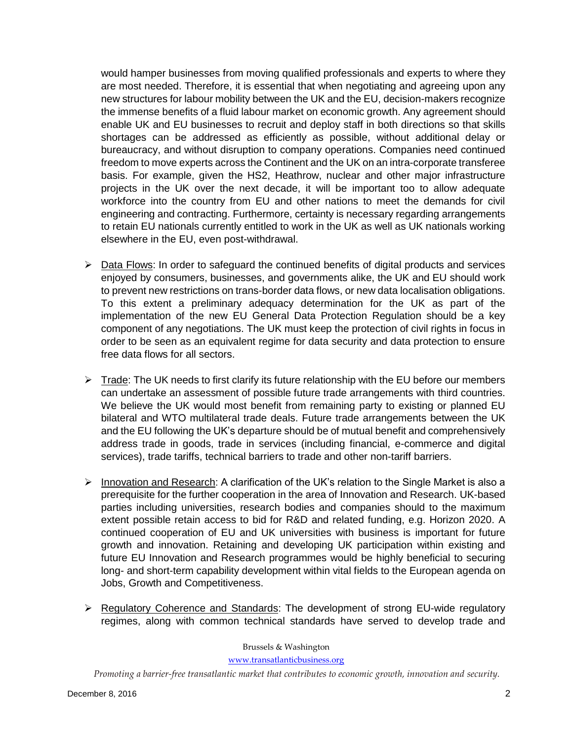would hamper businesses from moving qualified professionals and experts to where they are most needed. Therefore, it is essential that when negotiating and agreeing upon any new structures for labour mobility between the UK and the EU, decision-makers recognize the immense benefits of a fluid labour market on economic growth. Any agreement should enable UK and EU businesses to recruit and deploy staff in both directions so that skills shortages can be addressed as efficiently as possible, without additional delay or bureaucracy, and without disruption to company operations. Companies need continued freedom to move experts across the Continent and the UK on an intra-corporate transferee basis. For example, given the HS2, Heathrow, nuclear and other major infrastructure projects in the UK over the next decade, it will be important too to allow adequate workforce into the country from EU and other nations to meet the demands for civil engineering and contracting. Furthermore, certainty is necessary regarding arrangements to retain EU nationals currently entitled to work in the UK as well as UK nationals working elsewhere in the EU, even post-withdrawal.

- $\triangleright$  Data Flows: In order to safeguard the continued benefits of digital products and services enjoyed by consumers, businesses, and governments alike, the UK and EU should work to prevent new restrictions on trans-border data flows, or new data localisation obligations. To this extent a preliminary adequacy determination for the UK as part of the implementation of the new EU General Data Protection Regulation should be a key component of any negotiations. The UK must keep the protection of civil rights in focus in order to be seen as an equivalent regime for data security and data protection to ensure free data flows for all sectors.
- $\triangleright$  Trade: The UK needs to first clarify its future relationship with the EU before our members can undertake an assessment of possible future trade arrangements with third countries. We believe the UK would most benefit from remaining party to existing or planned EU bilateral and WTO multilateral trade deals. Future trade arrangements between the UK and the EU following the UK's departure should be of mutual benefit and comprehensively address trade in goods, trade in services (including financial, e-commerce and digital services), trade tariffs, technical barriers to trade and other non-tariff barriers.
- $\triangleright$  Innovation and Research: A clarification of the UK's relation to the Single Market is also a prerequisite for the further cooperation in the area of Innovation and Research. UK-based parties including universities, research bodies and companies should to the maximum extent possible retain access to bid for R&D and related funding, e.g. Horizon 2020. A continued cooperation of EU and UK universities with business is important for future growth and innovation. Retaining and developing UK participation within existing and future EU Innovation and Research programmes would be highly beneficial to securing long- and short-term capability development within vital fields to the European agenda on Jobs, Growth and Competitiveness.
- $\triangleright$  Regulatory Coherence and Standards: The development of strong EU-wide regulatory regimes, along with common technical standards have served to develop trade and

Brussels & Washington

[www.transatlanticbusiness.org](http://www.transatlanticbusiness.org/)

*Promoting a barrier-free transatlantic market that contributes to economic growth, innovation and security.*